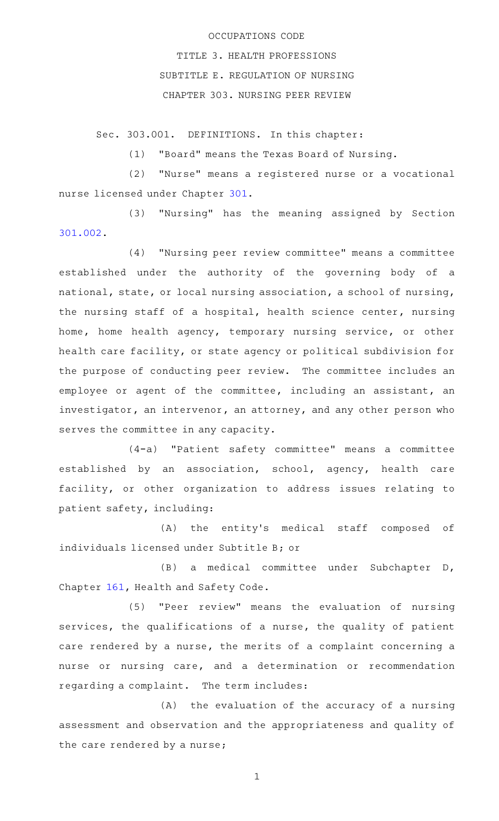## OCCUPATIONS CODE

TITLE 3. HEALTH PROFESSIONS SUBTITLE E. REGULATION OF NURSING CHAPTER 303. NURSING PEER REVIEW

Sec. 303.001. DEFINITIONS. In this chapter:

(1) "Board" means the Texas Board of Nursing.

(2) "Nurse" means a registered nurse or a vocational nurse licensed under Chapter [301](http://www.statutes.legis.state.tx.us/GetStatute.aspx?Code=OC&Value=301).

(3) "Nursing" has the meaning assigned by Section [301.002.](http://www.statutes.legis.state.tx.us/GetStatute.aspx?Code=OC&Value=301.002)

(4) "Nursing peer review committee" means a committee established under the authority of the governing body of a national, state, or local nursing association, a school of nursing, the nursing staff of a hospital, health science center, nursing home, home health agency, temporary nursing service, or other health care facility, or state agency or political subdivision for the purpose of conducting peer review. The committee includes an employee or agent of the committee, including an assistant, an investigator, an intervenor, an attorney, and any other person who serves the committee in any capacity.

(4-a) "Patient safety committee" means a committee established by an association, school, agency, health care facility, or other organization to address issues relating to patient safety, including:

(A) the entity's medical staff composed of individuals licensed under Subtitle B; or

(B) a medical committee under Subchapter D, Chapter [161,](http://www.statutes.legis.state.tx.us/GetStatute.aspx?Code=HS&Value=161) Health and Safety Code.

(5) "Peer review" means the evaluation of nursing services, the qualifications of a nurse, the quality of patient care rendered by a nurse, the merits of a complaint concerning a nurse or nursing care, and a determination or recommendation regarding a complaint. The term includes:

 $(A)$  the evaluation of the accuracy of a nursing assessment and observation and the appropriateness and quality of the care rendered by a nurse;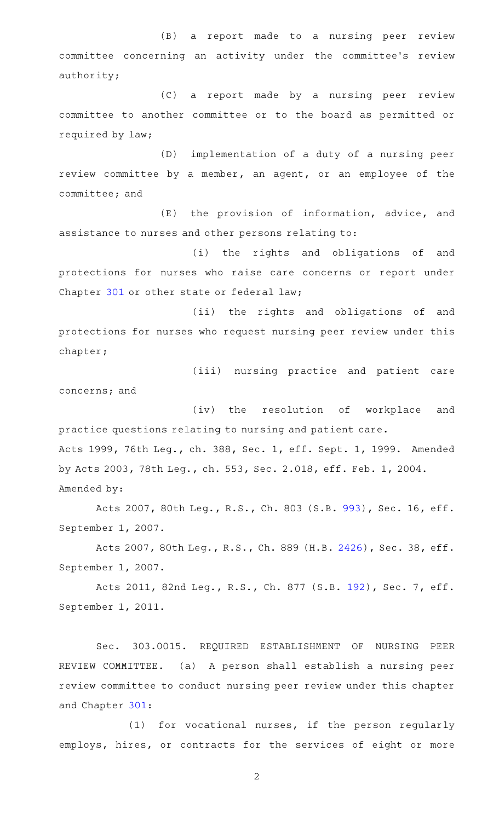(B) a report made to a nursing peer review committee concerning an activity under the committee's review authority;

(C) a report made by a nursing peer review committee to another committee or to the board as permitted or required by law;

(D) implementation of a duty of a nursing peer review committee by a member, an agent, or an employee of the committee; and

(E) the provision of information, advice, and assistance to nurses and other persons relating to:

(i) the rights and obligations of and protections for nurses who raise care concerns or report under Chapter [301](http://www.statutes.legis.state.tx.us/GetStatute.aspx?Code=OC&Value=301) or other state or federal law;

(ii) the rights and obligations of and protections for nurses who request nursing peer review under this chapter;

(iii) nursing practice and patient care concerns; and

(iv) the resolution of workplace and practice questions relating to nursing and patient care. Acts 1999, 76th Leg., ch. 388, Sec. 1, eff. Sept. 1, 1999. Amended by Acts 2003, 78th Leg., ch. 553, Sec. 2.018, eff. Feb. 1, 2004. Amended by:

Acts 2007, 80th Leg., R.S., Ch. 803 (S.B. [993\)](http://www.legis.state.tx.us/tlodocs/80R/billtext/html/SB00993F.HTM), Sec. 16, eff. September 1, 2007.

Acts 2007, 80th Leg., R.S., Ch. 889 (H.B. [2426\)](http://www.legis.state.tx.us/tlodocs/80R/billtext/html/HB02426F.HTM), Sec. 38, eff. September 1, 2007.

Acts 2011, 82nd Leg., R.S., Ch. 877 (S.B. [192](http://www.legis.state.tx.us/tlodocs/82R/billtext/html/SB00192F.HTM)), Sec. 7, eff. September 1, 2011.

Sec. 303.0015. REQUIRED ESTABLISHMENT OF NURSING PEER REVIEW COMMITTEE. (a) A person shall establish a nursing peer review committee to conduct nursing peer review under this chapter and Chapter [301](http://www.statutes.legis.state.tx.us/GetStatute.aspx?Code=OC&Value=301):

 $(1)$  for vocational nurses, if the person regularly employs, hires, or contracts for the services of eight or more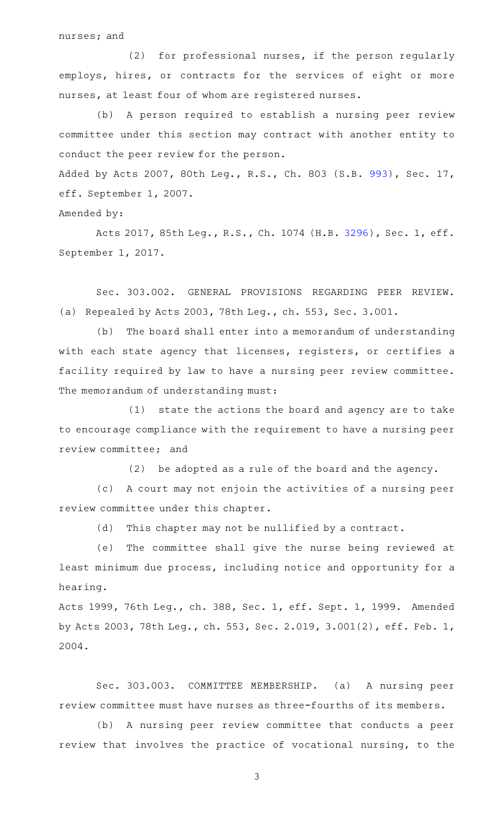nurses; and

(2) for professional nurses, if the person regularly employs, hires, or contracts for the services of eight or more nurses, at least four of whom are registered nurses.

(b) A person required to establish a nursing peer review committee under this section may contract with another entity to conduct the peer review for the person.

Added by Acts 2007, 80th Leg., R.S., Ch. 803 (S.B. [993\)](http://www.legis.state.tx.us/tlodocs/80R/billtext/html/SB00993F.HTM), Sec. 17, eff. September 1, 2007.

Amended by:

Acts 2017, 85th Leg., R.S., Ch. 1074 (H.B. [3296](http://www.legis.state.tx.us/tlodocs/85R/billtext/html/HB03296F.HTM)), Sec. 1, eff. September 1, 2017.

Sec. 303.002. GENERAL PROVISIONS REGARDING PEER REVIEW. (a) Repealed by Acts 2003, 78th Leg., ch. 553, Sec. 3.001.

(b) The board shall enter into a memorandum of understanding with each state agency that licenses, registers, or certifies a facility required by law to have a nursing peer review committee. The memorandum of understanding must:

 $(1)$  state the actions the board and agency are to take to encourage compliance with the requirement to have a nursing peer review committee; and

(2) be adopted as a rule of the board and the agency.

(c) A court may not enjoin the activities of a nursing peer review committee under this chapter.

(d) This chapter may not be nullified by a contract.

(e) The committee shall give the nurse being reviewed at least minimum due process, including notice and opportunity for a hearing.

Acts 1999, 76th Leg., ch. 388, Sec. 1, eff. Sept. 1, 1999. Amended by Acts 2003, 78th Leg., ch. 553, Sec. 2.019, 3.001(2), eff. Feb. 1, 2004.

Sec. 303.003. COMMITTEE MEMBERSHIP. (a) A nursing peer review committee must have nurses as three-fourths of its members.

(b) A nursing peer review committee that conducts a peer review that involves the practice of vocational nursing, to the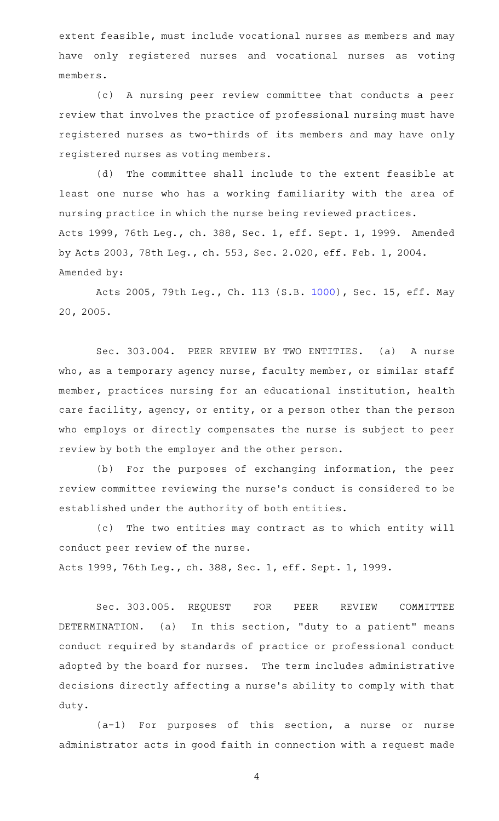extent feasible, must include vocational nurses as members and may have only registered nurses and vocational nurses as voting members.

(c)AAA nursing peer review committee that conducts a peer review that involves the practice of professional nursing must have registered nurses as two-thirds of its members and may have only registered nurses as voting members.

(d) The committee shall include to the extent feasible at least one nurse who has a working familiarity with the area of nursing practice in which the nurse being reviewed practices. Acts 1999, 76th Leg., ch. 388, Sec. 1, eff. Sept. 1, 1999. Amended by Acts 2003, 78th Leg., ch. 553, Sec. 2.020, eff. Feb. 1, 2004. Amended by:

Acts 2005, 79th Leg., Ch. 113 (S.B. [1000\)](http://www.legis.state.tx.us/tlodocs/79R/billtext/html/SB01000F.HTM), Sec. 15, eff. May 20, 2005.

Sec. 303.004. PEER REVIEW BY TWO ENTITIES. (a) A nurse who, as a temporary agency nurse, faculty member, or similar staff member, practices nursing for an educational institution, health care facility, agency, or entity, or a person other than the person who employs or directly compensates the nurse is subject to peer review by both the employer and the other person.

(b) For the purposes of exchanging information, the peer review committee reviewing the nurse 's conduct is considered to be established under the authority of both entities.

(c) The two entities may contract as to which entity will conduct peer review of the nurse. Acts 1999, 76th Leg., ch. 388, Sec. 1, eff. Sept. 1, 1999.

Sec. 303.005. REQUEST FOR PEER REVIEW COMMITTEE DETERMINATION. (a) In this section, "duty to a patient" means conduct required by standards of practice or professional conduct adopted by the board for nurses. The term includes administrative decisions directly affecting a nurse 's ability to comply with that duty.

 $(a-1)$  For purposes of this section, a nurse or nurse administrator acts in good faith in connection with a request made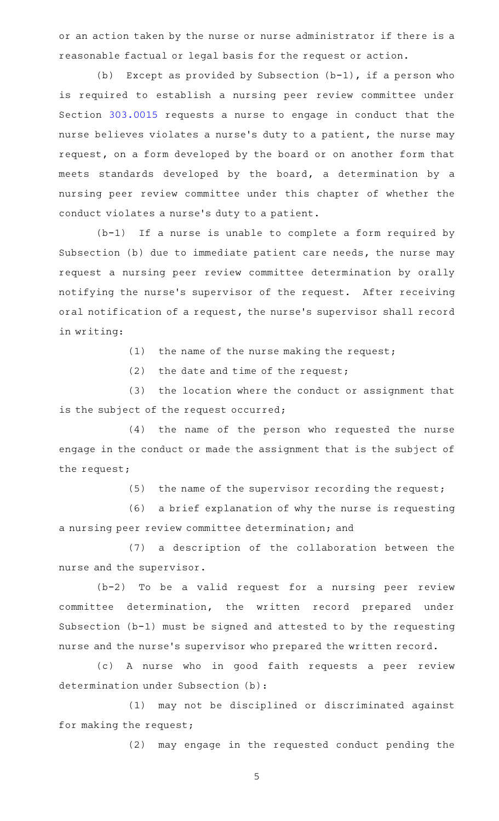or an action taken by the nurse or nurse administrator if there is a reasonable factual or legal basis for the request or action.

(b) Except as provided by Subsection  $(b-1)$ , if a person who is required to establish a nursing peer review committee under Section [303.0015](http://www.statutes.legis.state.tx.us/GetStatute.aspx?Code=OC&Value=303.0015) requests a nurse to engage in conduct that the nurse believes violates a nurse's duty to a patient, the nurse may request, on a form developed by the board or on another form that meets standards developed by the board, a determination by a nursing peer review committee under this chapter of whether the conduct violates a nurse 's duty to a patient.

 $(b-1)$  If a nurse is unable to complete a form required by Subsection (b) due to immediate patient care needs, the nurse may request a nursing peer review committee determination by orally notifying the nurse's supervisor of the request. After receiving oral notification of a request, the nurse 's supervisor shall record in writing:

(1) the name of the nurse making the request;

 $(2)$  the date and time of the request;

(3) the location where the conduct or assignment that is the subject of the request occurred;

(4) the name of the person who requested the nurse engage in the conduct or made the assignment that is the subject of the request;

(5) the name of the supervisor recording the request;

(6) a brief explanation of why the nurse is requesting a nursing peer review committee determination; and

(7) a description of the collaboration between the nurse and the supervisor.

 $(b-2)$  To be a valid request for a nursing peer review committee determination, the written record prepared under Subsection (b-1) must be signed and attested to by the requesting nurse and the nurse 's supervisor who prepared the written record.

(c)AAA nurse who in good faith requests a peer review determination under Subsection (b):

(1) may not be disciplined or discriminated against for making the request;

(2) may engage in the requested conduct pending the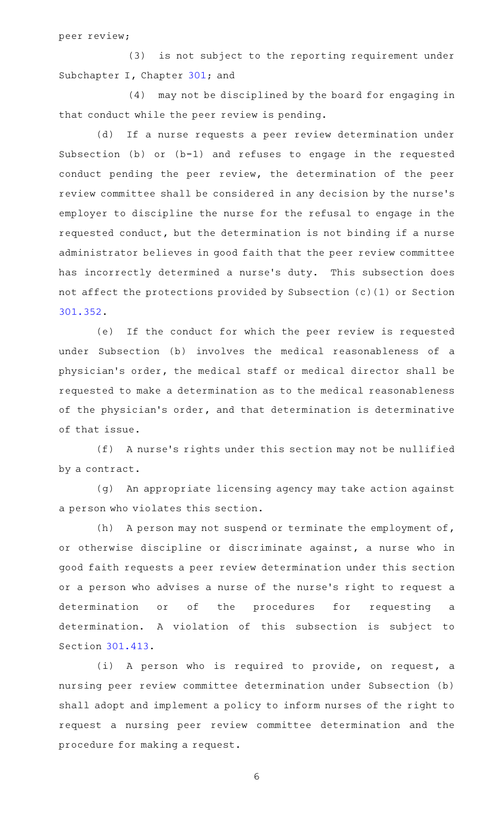peer review;

(3) is not subject to the reporting requirement under Subchapter I, Chapter [301](http://www.statutes.legis.state.tx.us/GetStatute.aspx?Code=OC&Value=301); and

(4) may not be disciplined by the board for engaging in that conduct while the peer review is pending.

(d) If a nurse requests a peer review determination under Subsection (b) or (b-1) and refuses to engage in the requested conduct pending the peer review, the determination of the peer review committee shall be considered in any decision by the nurse 's employer to discipline the nurse for the refusal to engage in the requested conduct, but the determination is not binding if a nurse administrator believes in good faith that the peer review committee has incorrectly determined a nurse's duty. This subsection does not affect the protections provided by Subsection (c)(1) or Section [301.352.](http://www.statutes.legis.state.tx.us/GetStatute.aspx?Code=OC&Value=301.352)

(e) If the conduct for which the peer review is requested under Subsection (b) involves the medical reasonableness of a physician 's order, the medical staff or medical director shall be requested to make a determination as to the medical reasonableness of the physician 's order, and that determination is determinative of that issue.

(f) A nurse's rights under this section may not be nullified by a contract.

(g) An appropriate licensing agency may take action against a person who violates this section.

(h) A person may not suspend or terminate the employment of, or otherwise discipline or discriminate against, a nurse who in good faith requests a peer review determination under this section or a person who advises a nurse of the nurse 's right to request a determination or of the procedures for requesting a determination. A violation of this subsection is subject to Section [301.413.](http://www.statutes.legis.state.tx.us/GetStatute.aspx?Code=OC&Value=301.413)

(i) A person who is required to provide, on request, a nursing peer review committee determination under Subsection (b) shall adopt and implement a policy to inform nurses of the right to request a nursing peer review committee determination and the procedure for making a request.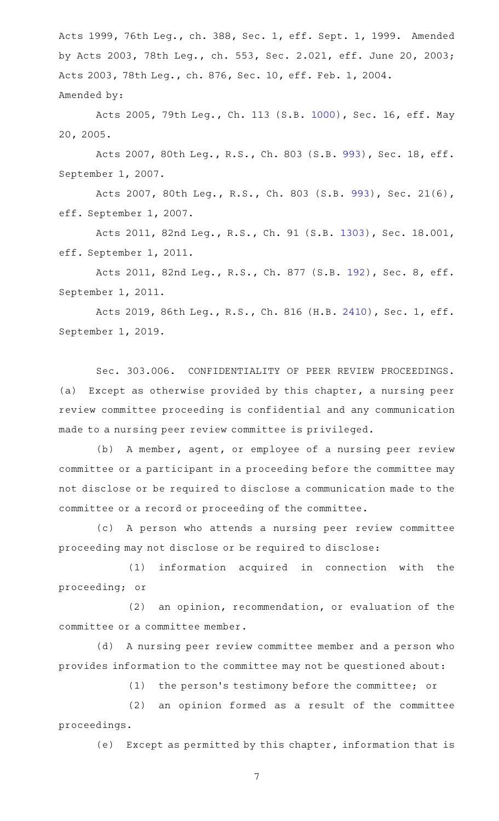Acts 1999, 76th Leg., ch. 388, Sec. 1, eff. Sept. 1, 1999. Amended by Acts 2003, 78th Leg., ch. 553, Sec. 2.021, eff. June 20, 2003; Acts 2003, 78th Leg., ch. 876, Sec. 10, eff. Feb. 1, 2004. Amended by:

Acts 2005, 79th Leg., Ch. 113 (S.B. [1000\)](http://www.legis.state.tx.us/tlodocs/79R/billtext/html/SB01000F.HTM), Sec. 16, eff. May 20, 2005.

Acts 2007, 80th Leg., R.S., Ch. 803 (S.B. [993\)](http://www.legis.state.tx.us/tlodocs/80R/billtext/html/SB00993F.HTM), Sec. 18, eff. September 1, 2007.

Acts 2007, 80th Leg., R.S., Ch. 803 (S.B. [993](http://www.legis.state.tx.us/tlodocs/80R/billtext/html/SB00993F.HTM)), Sec. 21(6), eff. September 1, 2007.

Acts 2011, 82nd Leg., R.S., Ch. 91 (S.B. [1303](http://www.legis.state.tx.us/tlodocs/82R/billtext/html/SB01303F.HTM)), Sec. 18.001, eff. September 1, 2011.

Acts 2011, 82nd Leg., R.S., Ch. 877 (S.B. [192](http://www.legis.state.tx.us/tlodocs/82R/billtext/html/SB00192F.HTM)), Sec. 8, eff. September 1, 2011.

Acts 2019, 86th Leg., R.S., Ch. 816 (H.B. [2410](http://www.legis.state.tx.us/tlodocs/86R/billtext/html/HB02410F.HTM)), Sec. 1, eff. September 1, 2019.

Sec. 303.006. CONFIDENTIALITY OF PEER REVIEW PROCEEDINGS. (a) Except as otherwise provided by this chapter, a nursing peer review committee proceeding is confidential and any communication made to a nursing peer review committee is privileged.

(b) A member, agent, or employee of a nursing peer review committee or a participant in a proceeding before the committee may not disclose or be required to disclose a communication made to the committee or a record or proceeding of the committee.

(c)AAA person who attends a nursing peer review committee proceeding may not disclose or be required to disclose:

(1) information acquired in connection with the proceeding; or

 $(2)$  an opinion, recommendation, or evaluation of the committee or a committee member.

(d) A nursing peer review committee member and a person who provides information to the committee may not be questioned about:

(1) the person's testimony before the committee; or

 $(2)$  an opinion formed as a result of the committee proceedings.

(e) Except as permitted by this chapter, information that is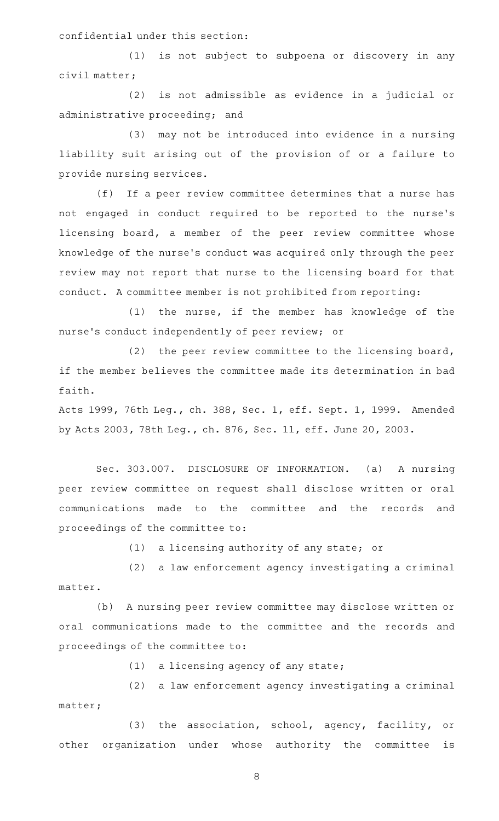confidential under this section:

(1) is not subject to subpoena or discovery in any civil matter;

 $(2)$  is not admissible as evidence in a judicial or administrative proceeding; and

(3) may not be introduced into evidence in a nursing liability suit arising out of the provision of or a failure to provide nursing services.

(f) If a peer review committee determines that a nurse has not engaged in conduct required to be reported to the nurse 's licensing board, a member of the peer review committee whose knowledge of the nurse 's conduct was acquired only through the peer review may not report that nurse to the licensing board for that conduct. A committee member is not prohibited from reporting:

(1) the nurse, if the member has knowledge of the nurse 's conduct independently of peer review; or

(2) the peer review committee to the licensing board, if the member believes the committee made its determination in bad faith.

Acts 1999, 76th Leg., ch. 388, Sec. 1, eff. Sept. 1, 1999. Amended by Acts 2003, 78th Leg., ch. 876, Sec. 11, eff. June 20, 2003.

Sec. 303.007. DISCLOSURE OF INFORMATION. (a) A nursing peer review committee on request shall disclose written or oral communications made to the committee and the records and proceedings of the committee to:

 $(1)$  a licensing authority of any state; or

(2) a law enforcement agency investigating a criminal matter.

(b) A nursing peer review committee may disclose written or oral communications made to the committee and the records and proceedings of the committee to:

 $(1)$  a licensing agency of any state;

(2) a law enforcement agency investigating a criminal matter;

(3) the association, school, agency, facility, or other organization under whose authority the committee is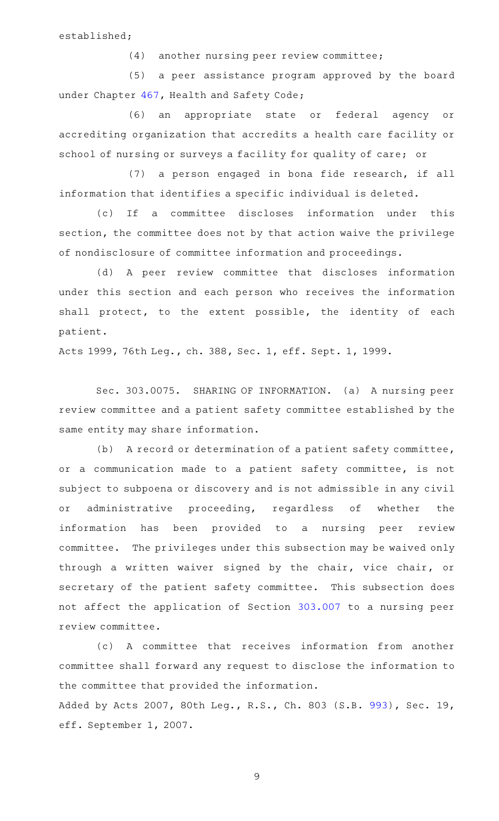established;

(4) another nursing peer review committee;

(5) a peer assistance program approved by the board under Chapter [467](http://www.statutes.legis.state.tx.us/GetStatute.aspx?Code=HS&Value=467), Health and Safety Code;

(6) an appropriate state or federal agency or accrediting organization that accredits a health care facility or school of nursing or surveys a facility for quality of care; or

(7) a person engaged in bona fide research, if all information that identifies a specific individual is deleted.

(c) If a committee discloses information under this section, the committee does not by that action waive the privilege of nondisclosure of committee information and proceedings.

(d)AAA peer review committee that discloses information under this section and each person who receives the information shall protect, to the extent possible, the identity of each patient.

Acts 1999, 76th Leg., ch. 388, Sec. 1, eff. Sept. 1, 1999.

Sec. 303.0075. SHARING OF INFORMATION. (a) A nursing peer review committee and a patient safety committee established by the same entity may share information.

(b) A record or determination of a patient safety committee, or a communication made to a patient safety committee, is not subject to subpoena or discovery and is not admissible in any civil or administrative proceeding, regardless of whether the information has been provided to a nursing peer review committee. The privileges under this subsection may be waived only through a written waiver signed by the chair, vice chair, or secretary of the patient safety committee. This subsection does not affect the application of Section [303.007](http://www.statutes.legis.state.tx.us/GetStatute.aspx?Code=OC&Value=303.007) to a nursing peer review committee.

(c) A committee that receives information from another committee shall forward any request to disclose the information to the committee that provided the information.

Added by Acts 2007, 80th Leg., R.S., Ch. 803 (S.B. [993\)](http://www.legis.state.tx.us/tlodocs/80R/billtext/html/SB00993F.HTM), Sec. 19, eff. September 1, 2007.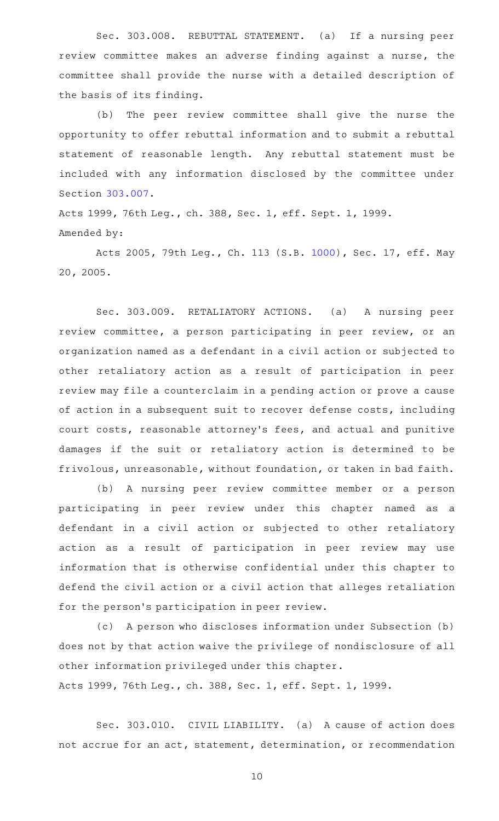Sec. 303.008. REBUTTAL STATEMENT. (a) If a nursing peer review committee makes an adverse finding against a nurse, the committee shall provide the nurse with a detailed description of the basis of its finding.

(b) The peer review committee shall give the nurse the opportunity to offer rebuttal information and to submit a rebuttal statement of reasonable length. Any rebuttal statement must be included with any information disclosed by the committee under Section [303.007.](http://www.statutes.legis.state.tx.us/GetStatute.aspx?Code=OC&Value=303.007)

Acts 1999, 76th Leg., ch. 388, Sec. 1, eff. Sept. 1, 1999. Amended by:

Acts 2005, 79th Leg., Ch. 113 (S.B. [1000\)](http://www.legis.state.tx.us/tlodocs/79R/billtext/html/SB01000F.HTM), Sec. 17, eff. May 20, 2005.

Sec. 303.009. RETALIATORY ACTIONS. (a) A nursing peer review committee, a person participating in peer review, or an organization named as a defendant in a civil action or subjected to other retaliatory action as a result of participation in peer review may file a counterclaim in a pending action or prove a cause of action in a subsequent suit to recover defense costs, including court costs, reasonable attorney 's fees, and actual and punitive damages if the suit or retaliatory action is determined to be frivolous, unreasonable, without foundation, or taken in bad faith.

(b) A nursing peer review committee member or a person participating in peer review under this chapter named as a defendant in a civil action or subjected to other retaliatory action as a result of participation in peer review may use information that is otherwise confidential under this chapter to defend the civil action or a civil action that alleges retaliation for the person's participation in peer review.

(c) A person who discloses information under Subsection (b) does not by that action waive the privilege of nondisclosure of all other information privileged under this chapter. Acts 1999, 76th Leg., ch. 388, Sec. 1, eff. Sept. 1, 1999.

Sec. 303.010. CIVIL LIABILITY. (a) A cause of action does not accrue for an act, statement, determination, or recommendation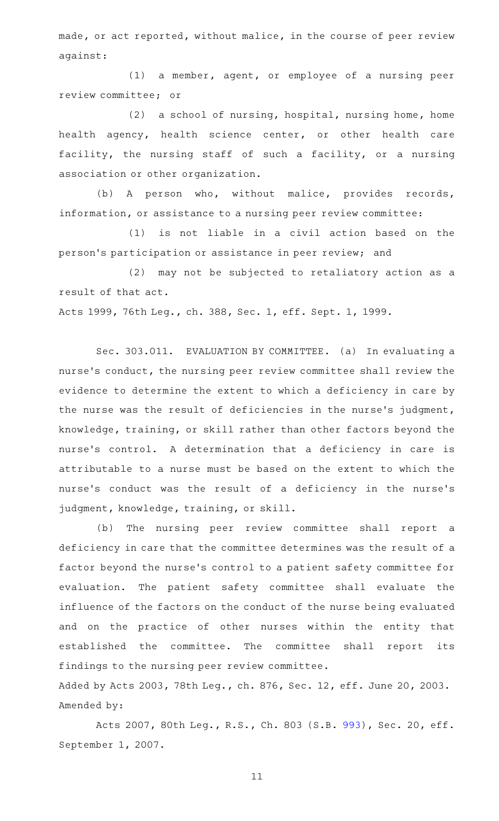made, or act reported, without malice, in the course of peer review against:

(1) a member, agent, or employee of a nursing peer review committee; or

 $(2)$  a school of nursing, hospital, nursing home, home health agency, health science center, or other health care facility, the nursing staff of such a facility, or a nursing association or other organization.

(b) A person who, without malice, provides records, information, or assistance to a nursing peer review committee:

 $(1)$  is not liable in a civil action based on the person 's participation or assistance in peer review; and

(2) may not be subjected to retaliatory action as a result of that act.

Acts 1999, 76th Leg., ch. 388, Sec. 1, eff. Sept. 1, 1999.

Sec. 303.011. EVALUATION BY COMMITTEE. (a) In evaluating a nurse 's conduct, the nursing peer review committee shall review the evidence to determine the extent to which a deficiency in care by the nurse was the result of deficiencies in the nurse 's judgment, knowledge, training, or skill rather than other factors beyond the nurse's control. A determination that a deficiency in care is attributable to a nurse must be based on the extent to which the nurse's conduct was the result of a deficiency in the nurse's judgment, knowledge, training, or skill.

(b) The nursing peer review committee shall report a deficiency in care that the committee determines was the result of a factor beyond the nurse 's control to a patient safety committee for evaluation. The patient safety committee shall evaluate the influence of the factors on the conduct of the nurse being evaluated and on the practice of other nurses within the entity that established the committee. The committee shall report its findings to the nursing peer review committee. Added by Acts 2003, 78th Leg., ch. 876, Sec. 12, eff. June 20, 2003.

Amended by:

Acts 2007, 80th Leg., R.S., Ch. 803 (S.B. [993\)](http://www.legis.state.tx.us/tlodocs/80R/billtext/html/SB00993F.HTM), Sec. 20, eff. September 1, 2007.